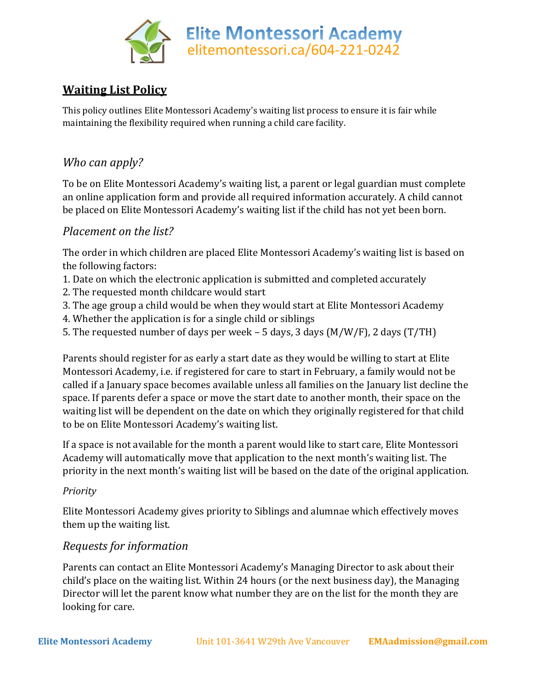

# **Waiting List Policy**

This policy outlines Elite Montessori Academy's waiting list process to ensure it is fair while maintaining the flexibility required when running a child care facility.

### *Who can apply?*

To be on Elite Montessori Academy's waiting list, a parent or legal guardian must complete an online application form and provide all required information accurately. A child cannot be placed on Elite Montessori Academy's waiting list if the child has not yet been born.

### *Placement on the list?*

The order in which children are placed Elite Montessori Academy's waiting list is based on the following factors:

- 1. Date on which the electronic application is submitted and completed accurately
- 2. The requested month childcare would start
- 3. The age group a child would be when they would start at Elite Montessori Academy
- 4. Whether the application is for a single child or siblings
- 5. The requested number of days per week 5 days, 3 days (M/W/F), 2 days (T/TH)

Parents should register for as early a start date as they would be willing to start at Elite Montessori Academy, i.e. if registered for care to start in February, a family would not be called if a January space becomes available unless all families on the January list decline the space. If parents defer a space or move the start date to another month, their space on the waiting list will be dependent on the date on which they originally registered for that child to be on Elite Montessori Academy's waiting list.

If a space is not available for the month a parent would like to start care, Elite Montessori Academy will automatically move that application to the next month's waiting list. The priority in the next month's waiting list will be based on the date of the original application.

#### *Priority*

Elite Montessori Academy gives priority to Siblings and alumnae which effectively moves them up the waiting list.

#### *Requests for information*

Parents can contact an Elite Montessori Academy's Managing Director to ask about their child's place on the waiting list. Within 24 hours (or the next business day), the Managing Director will let the parent know what number they are on the list for the month they are looking for care.